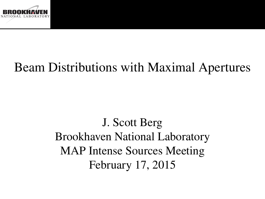

### Beam Distributions with Maximal Apertures

J. Scott Berg Brookhaven National Laboratory MAP Intense Sources Meeting February 17, 2015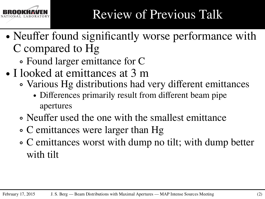

- ∙ Neuffer found significantly worse performance with C compared to Hg
	- ∘ Found larger emittance for C
- ∙ I looked at emittances at 3 m
	- ∘ Various Hg distributions had very different emittances
		- ∙ Differences primarily result from different beam pipe apertures
	- ∘ Neuffer used the one with the smallest emittance
	- ∘ C emittances were larger than Hg
	- ∘ C emittances worst with dump no tilt; with dump better with tilt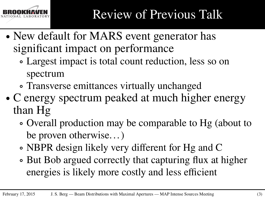

- ∙ New default for MARS event generator has significant impact on performance
	- ∘ Largest impact is total count reduction, less so on spectrum
	- ∘ Transverse emittances virtually unchanged
- ∙ C energy spectrum peaked at much higher energy than Hg
	- ∘ Overall production may be comparable to Hg (about to be proven otherwise. . . )
	- ∘ NBPR design likely very different for Hg and C
	- ∘ But Bob argued correctly that capturing flux at higher energies is likely more costly and less efficient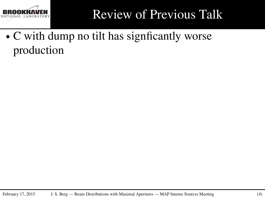

### Review of Previous Talk

∙ C with dump no tilt has signficantly worse production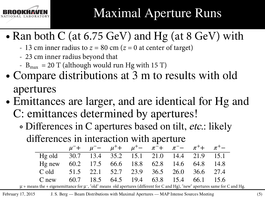

## Maximal Aperture Runs

- ∙ Ran both C (at 6.75 GeV) and Hg (at 8 GeV) with
	- 13 cm inner radius to  $z = 80$  cm ( $z = 0$  at center of target)
	- 23 cm inner radius beyond that
	- $B_{max}$  = 20 T (although would run Hg with 15 T)
- ∙ Compare distributions at 3 m to results with old apertures
- ∙ Emittances are larger, and are identical for Hg and C: emittances determined by apertures!
	- ∘ Differences in C apertures based on tilt, etc.: likely differences in interaction with aperture

|                                                                                                                                 |  |  | $\mu^-$ + $\mu^ \mu^+$ $\mu^+$ $\mu^+$ $\pi^ \pi^ \pi^+$ $\pi^+$ |  |  |
|---------------------------------------------------------------------------------------------------------------------------------|--|--|------------------------------------------------------------------|--|--|
| Hg old 30.7 13.4 35.2 15.1 21.0 14.4 21.9 15.1                                                                                  |  |  |                                                                  |  |  |
| Hg new                                                                                                                          |  |  | 60.2 17.5 66.6 18.8 62.8 14.6 64.8 14.8                          |  |  |
| C old                                                                                                                           |  |  | 51.5 22.1 52.7 23.9 36.5 26.0 36.6 27.4                          |  |  |
| C new                                                                                                                           |  |  | 60.7 18.5 64.5 19.4 63.8 15.4 66.1 15.6                          |  |  |
| + means the + eigenemittance for $\mu$ , "old" means old apertures (different for C and Hg), "new" apertures same for C and Hg. |  |  |                                                                  |  |  |

February 17, 2015 J. S. Berg — Beam Distributions with Maximal Apertures — MAP Intense Sources Meeting (5)  $U + m$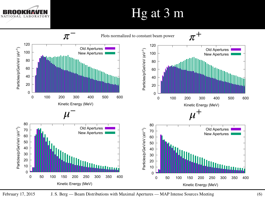

# Hg at 3 m

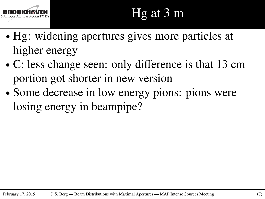

- ∙ Hg: widening apertures gives more particles at higher energy
- ∙ C: less change seen: only difference is that 13 cm portion got shorter in new version
- ∙ Some decrease in low energy pions: pions were losing energy in beampipe?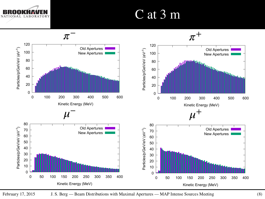NATIONÁL LABORATORY

#### C at 3 m



February 17, 2015 J. S. Berg — Beam Distributions with Maximal Apertures — MAP Intense Sources Meeting (8)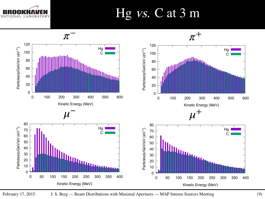



NATIO

NAL

LABORATORY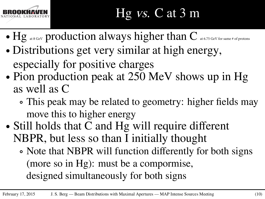

- Hg at 8 GeV production always higher than  $C$  at 6.75 GeV for same # of protons
- ∙ Distributions get very similar at high energy, especially for positive charges
- ∙ Pion production peak at 250 MeV shows up in Hg as well as C
	- ∘ This peak may be related to geometry: higher fields may move this to higher energy
- ∙ Still holds that C and Hg will require different NBPR, but less so than I initially thought
	- ∘ Note that NBPR will function differently for both signs (more so in Hg): must be a compormise, designed simultaneously for both signs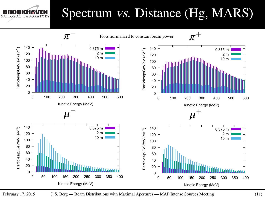### Spectrum vs. Distance (Hg, MARS)



NAL

LABORATORY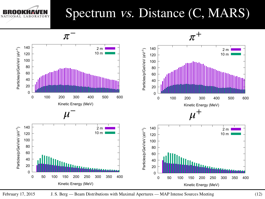## Spectrum vs. Distance (C, MARS)

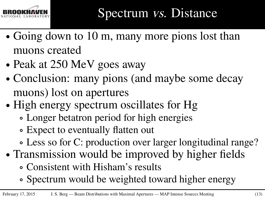

- ∙ Going down to 10 m, many more pions lost than muons created
- ∙ Peak at 250 MeV goes away
- ∙ Conclusion: many pions (and maybe some decay muons) lost on apertures
- ∙ High energy spectrum oscillates for Hg
	- ∘ Longer betatron period for high energies
	- ∘ Expect to eventually flatten out
	- ∘ Less so for C: production over larger longitudinal range?
- ∙ Transmission would be improved by higher fields
	- ∘ Consistent with Hisham's results
	- ∘ Spectrum would be weighted toward higher energy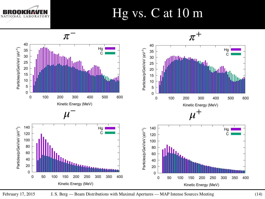



NATIO

NAL

LABORATORY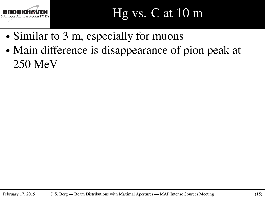

### Hg vs. C at 10 m

- ∙ Similar to 3 m, especially for muons
- ∙ Main difference is disappearance of pion peak at 250 MeV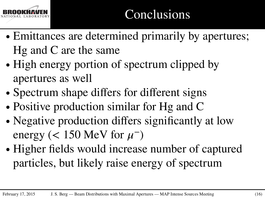

- ∙ Emittances are determined primarily by apertures; Hg and C are the same
- ∙ High energy portion of spectrum clipped by apertures as well
- ∙ Spectrum shape differs for different signs
- ∙ Positive production similar for Hg and C
- Negative production differs significantly at low energy ( $<$  150 MeV for  $\mu$ <sup>-</sup>)
- ∙ Higher fields would increase number of captured particles, but likely raise energy of spectrum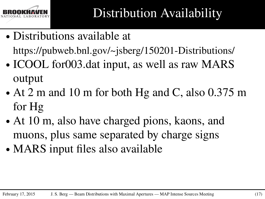

- ∙ Distributions available at https://pubweb.bnl.gov/~jsberg/150201-Distributions/
- ∙ ICOOL for003.dat input, as well as raw MARS output
- ∙ At 2 m and 10 m for both Hg and C, also 0.375 m for Hg
- ∙ At 10 m, also have charged pions, kaons, and muons, plus same separated by charge signs
- ∙ MARS input files also available